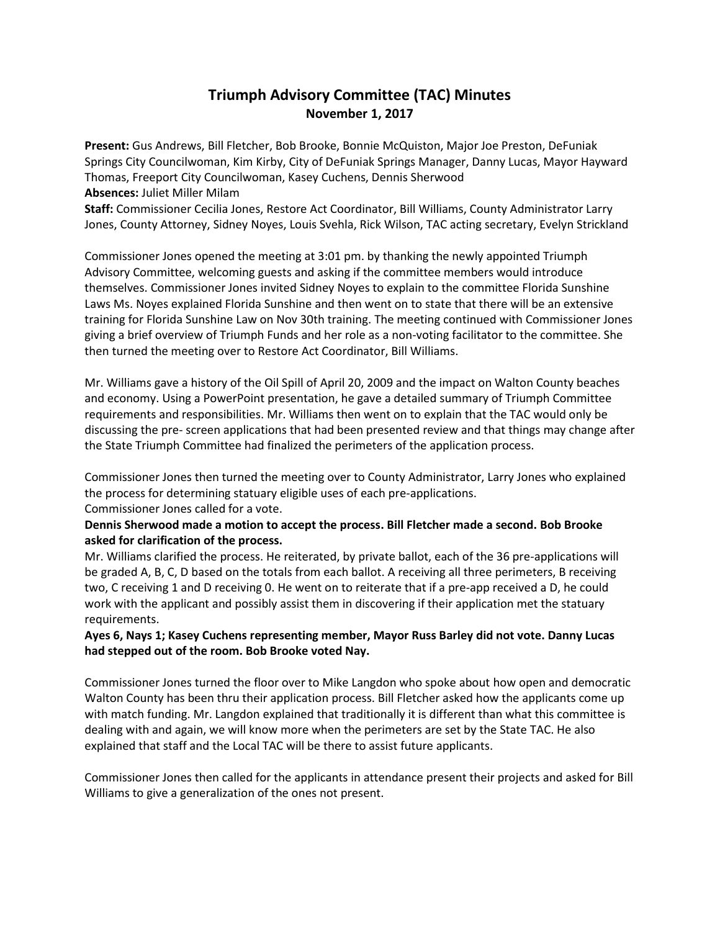## **Triumph Advisory Committee (TAC) Minutes November 1, 2017**

**Present:** Gus Andrews, Bill Fletcher, Bob Brooke, Bonnie McQuiston, Major Joe Preston, DeFuniak Springs City Councilwoman, Kim Kirby, City of DeFuniak Springs Manager, Danny Lucas, Mayor Hayward Thomas, Freeport City Councilwoman, Kasey Cuchens, Dennis Sherwood **Absences:** Juliet Miller Milam

**Staff:** Commissioner Cecilia Jones, Restore Act Coordinator, Bill Williams, County Administrator Larry Jones, County Attorney, Sidney Noyes, Louis Svehla, Rick Wilson, TAC acting secretary, Evelyn Strickland

Commissioner Jones opened the meeting at 3:01 pm. by thanking the newly appointed Triumph Advisory Committee, welcoming guests and asking if the committee members would introduce themselves. Commissioner Jones invited Sidney Noyes to explain to the committee Florida Sunshine Laws Ms. Noyes explained Florida Sunshine and then went on to state that there will be an extensive training for Florida Sunshine Law on Nov 30th training. The meeting continued with Commissioner Jones giving a brief overview of Triumph Funds and her role as a non-voting facilitator to the committee. She then turned the meeting over to Restore Act Coordinator, Bill Williams.

Mr. Williams gave a history of the Oil Spill of April 20, 2009 and the impact on Walton County beaches and economy. Using a PowerPoint presentation, he gave a detailed summary of Triumph Committee requirements and responsibilities. Mr. Williams then went on to explain that the TAC would only be discussing the pre- screen applications that had been presented review and that things may change after the State Triumph Committee had finalized the perimeters of the application process.

Commissioner Jones then turned the meeting over to County Administrator, Larry Jones who explained the process for determining statuary eligible uses of each pre-applications. Commissioner Jones called for a vote.

**Dennis Sherwood made a motion to accept the process. Bill Fletcher made a second. Bob Brooke asked for clarification of the process.**

Mr. Williams clarified the process. He reiterated, by private ballot, each of the 36 pre-applications will be graded A, B, C, D based on the totals from each ballot. A receiving all three perimeters, B receiving two, C receiving 1 and D receiving 0. He went on to reiterate that if a pre-app received a D, he could work with the applicant and possibly assist them in discovering if their application met the statuary requirements.

**Ayes 6, Nays 1; Kasey Cuchens representing member, Mayor Russ Barley did not vote. Danny Lucas had stepped out of the room. Bob Brooke voted Nay.** 

Commissioner Jones turned the floor over to Mike Langdon who spoke about how open and democratic Walton County has been thru their application process. Bill Fletcher asked how the applicants come up with match funding. Mr. Langdon explained that traditionally it is different than what this committee is dealing with and again, we will know more when the perimeters are set by the State TAC. He also explained that staff and the Local TAC will be there to assist future applicants.

Commissioner Jones then called for the applicants in attendance present their projects and asked for Bill Williams to give a generalization of the ones not present.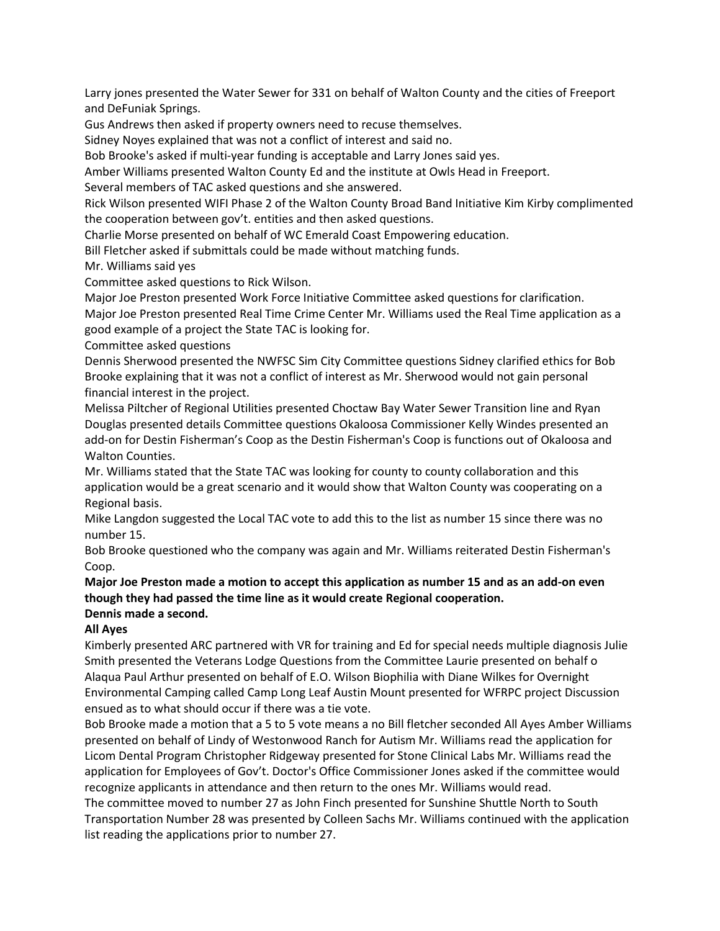Larry jones presented the Water Sewer for 331 on behalf of Walton County and the cities of Freeport and DeFuniak Springs.

Gus Andrews then asked if property owners need to recuse themselves.

Sidney Noyes explained that was not a conflict of interest and said no.

Bob Brooke's asked if multi-year funding is acceptable and Larry Jones said yes.

Amber Williams presented Walton County Ed and the institute at Owls Head in Freeport.

Several members of TAC asked questions and she answered.

Rick Wilson presented WIFI Phase 2 of the Walton County Broad Band Initiative Kim Kirby complimented the cooperation between gov't. entities and then asked questions.

Charlie Morse presented on behalf of WC Emerald Coast Empowering education.

Bill Fletcher asked if submittals could be made without matching funds.

Mr. Williams said yes

Committee asked questions to Rick Wilson.

Major Joe Preston presented Work Force Initiative Committee asked questions for clarification.

Major Joe Preston presented Real Time Crime Center Mr. Williams used the Real Time application as a good example of a project the State TAC is looking for.

Committee asked questions

Dennis Sherwood presented the NWFSC Sim City Committee questions Sidney clarified ethics for Bob Brooke explaining that it was not a conflict of interest as Mr. Sherwood would not gain personal financial interest in the project.

Melissa Piltcher of Regional Utilities presented Choctaw Bay Water Sewer Transition line and Ryan Douglas presented details Committee questions Okaloosa Commissioner Kelly Windes presented an add-on for Destin Fisherman's Coop as the Destin Fisherman's Coop is functions out of Okaloosa and Walton Counties.

Mr. Williams stated that the State TAC was looking for county to county collaboration and this application would be a great scenario and it would show that Walton County was cooperating on a Regional basis.

Mike Langdon suggested the Local TAC vote to add this to the list as number 15 since there was no number 15.

Bob Brooke questioned who the company was again and Mr. Williams reiterated Destin Fisherman's Coop.

## **Major Joe Preston made a motion to accept this application as number 15 and as an add-on even though they had passed the time line as it would create Regional cooperation. Dennis made a second.**

## **All Ayes**

Kimberly presented ARC partnered with VR for training and Ed for special needs multiple diagnosis Julie Smith presented the Veterans Lodge Questions from the Committee Laurie presented on behalf o Alaqua Paul Arthur presented on behalf of E.O. Wilson Biophilia with Diane Wilkes for Overnight Environmental Camping called Camp Long Leaf Austin Mount presented for WFRPC project Discussion ensued as to what should occur if there was a tie vote.

Bob Brooke made a motion that a 5 to 5 vote means a no Bill fletcher seconded All Ayes Amber Williams presented on behalf of Lindy of Westonwood Ranch for Autism Mr. Williams read the application for Licom Dental Program Christopher Ridgeway presented for Stone Clinical Labs Mr. Williams read the application for Employees of Gov't. Doctor's Office Commissioner Jones asked if the committee would recognize applicants in attendance and then return to the ones Mr. Williams would read.

The committee moved to number 27 as John Finch presented for Sunshine Shuttle North to South Transportation Number 28 was presented by Colleen Sachs Mr. Williams continued with the application list reading the applications prior to number 27.